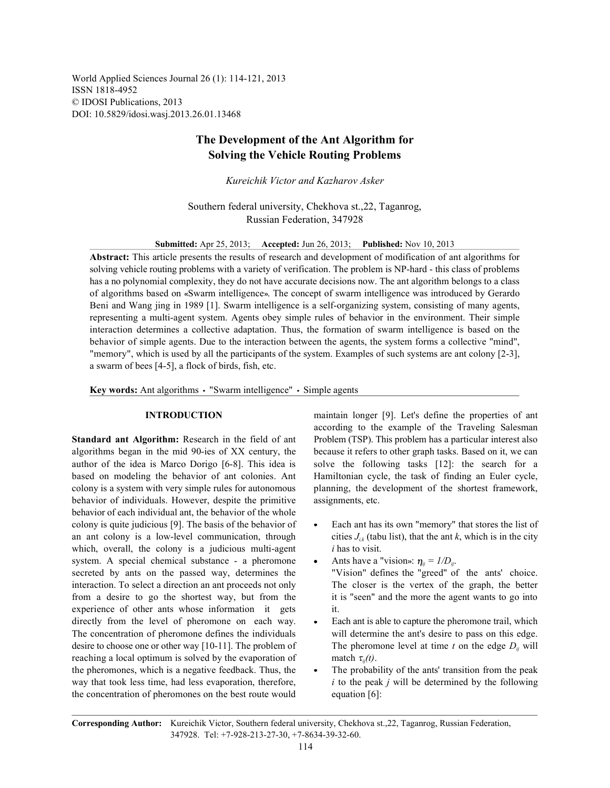World Applied Sciences Journal 26 (1): 114-121, 2013 ISSN 1818-4952 © IDOSI Publications, 2013 DOI: 10.5829/idosi.wasj.2013.26.01.13468

# **The Development of the Ant Algorithm for Solving the Vehicle Routing Problems**

*Kureichik Victor and Kazharov Asker*

Southern federal university, Chekhova st.,22, Taganrog, Russian Federation, 347928

**Submitted:** Apr 25, 2013; **Accepted:** Jun 26, 2013; **Published:** Nov 10, 2013

**Abstract:** This article presents the results of research and development of modification of ant algorithms for solving vehicle routing problems with a variety of verification. The problem is NP-hard - this class of problems has a no polynomial complexity, they do not have accurate decisions now. The ant algorithm belongs to a class of algorithms based on «Swarm intelligence». The concept of swarm intelligence was introduced by Gerardo Beni and Wang jing in 1989 [1]. Swarm intelligence is a self-organizing system, consisting of many agents, representing a multi-agent system. Agents obey simple rules of behavior in the environment. Their simple interaction determines a collective adaptation. Thus, the formation of swarm intelligence is based on the behavior of simple agents. Due to the interaction between the agents, the system forms a collective "mind", "memory", which is used by all the participants of the system. Examples of such systems are ant colony [2-3], a swarm of bees [4-5], a flock of birds, fish, etc.

**Key words:** Ant algorithms  $\cdot$  "Swarm intelligence"  $\cdot$  Simple agents

algorithms began in the mid 90-ies of XX century, the because it refers to other graph tasks. Based on it, we can author of the idea is Marco Dorigo [6-8]. This idea is solve the following tasks [12]: the search for a based on modeling the behavior of ant colonies. Ant Hamiltonian cycle, the task of finding an Euler cycle, colony is a system with very simple rules for autonomous planning, the development of the shortest framework, behavior of individuals. However, despite the primitive assignments, etc. behavior of each individual ant, the behavior of the whole colony is quite judicious [9]. The basis of the behavior of  $\bullet$  Each ant has its own "memory" that stores the list of an ant colony is a low-level communication, through which, overall, the colony is a judicious multi-agent *i* has to visit. system. A special chemical substance - a pheromone secreted by ants on the passed way, determines the "Vision" defines the "greed" of the ants' choice. interaction. To select a direction an ant proceeds not only The closer is the vertex of the graph, the better from a desire to go the shortest way, but from the it is "seen" and the more the agent wants to go into experience of other ants whose information it gets it. directly from the level of pheromone on each way.  $\bullet$  Each ant is able to capture the pheromone trail, which The concentration of pheromone defines the individuals will determine the ant's desire to pass on this edge. desire to choose one or other way [10-11]. The problem of reaching a local optimum is solved by the evaporation of the pheromones, which is a negative feedback. Thus, the  $\bullet$  The probability of the ants' transition from the peak way that took less time, had less evaporation, therefore, *i* to the peak *j* will be determined by the following the concentration of pheromones on the best route would equation [6]:

**INTRODUCTION** maintain longer [9]. Let's define the properties of ant **Standard ant Algorithm:** Research in the field of ant Problem (TSP). This problem has a particular interest also according to the example of the Traveling Salesman

- cities  $J_{ik}$  (tabu list), that the ant k, which is in the city
- Ants have a "vision»:  $\eta_{ii} = I/D_{ii}$ .
- The pheromone level at time t on the edge  $D_{ij}$  will match  $\tau_{ii}(t)$ .
- 

**Corresponding Author:** Kureichik Victor, Southern federal university, Chekhova st.,22, Taganrog, Russian Federation, 347928. Tel: +7-928-213-27-30, +7-8634-39-32-60.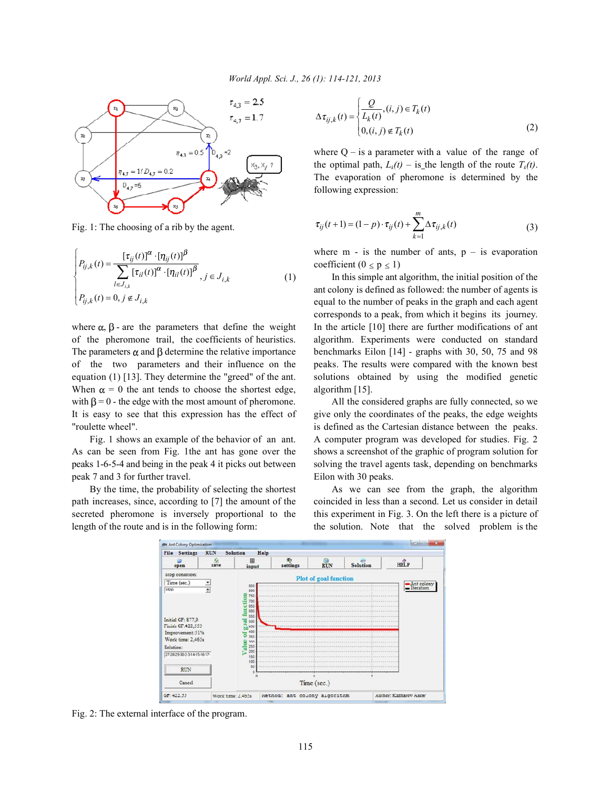

Fig. 1: The choosing of a rib by the agent.

$$
\begin{cases}\nP_{ij,k}(t) = \frac{[\tau_{ij}(t)]^{\alpha} \cdot [\eta_{ij}(t)]^{\beta}}{\sum_{l \in J_{i,k}} [\tau_{il}(t)]^{\alpha} \cdot [\eta_{il}(t)]^{\beta}}, & j \in J_{i,k} \\
P_{ij,k}(t) = 0, & j \notin J_{i,k}\n\end{cases}
$$
\n(1)

of the pheromone trail, the coefficients of heuristics. algorithm. Experiments were conducted on standard The parameters  $\alpha$  and  $\beta$  determine the relative importance benchmarks Eilon [14] - graphs with 30, 50, 75 and 98 of the two parameters and their influence on the peaks. The results were compared with the known best equation (1) [13]. They determine the "greed" of the ant. solutions obtained by using the modified genetic When  $\alpha = 0$  the ant tends to choose the shortest edge, algorithm [15]. with  $\beta = 0$  - the edge with the most amount of pheromone. All the considered graphs are fully connected, so we It is easy to see that this expression has the effect of give only the coordinates of the peaks, the edge weights "roulette wheel". is defined as the Cartesian distance between the peaks.

As can be seen from Fig. 1the ant has gone over the shows a screenshot of the graphic of program solution for peaks 1-6-5-4 and being in the peak 4 it picks out between solving the travel agents task, depending on benchmarks peak 7 and 3 for further travel. Eilon with 30 peaks.

path increases, since, according to [7] the amount of the coincided in less than a second. Let us consider in detail secreted pheromone is inversely proportional to the this experiment in Fig. 3. On the left there is a picture of length of the route and is in the following form: the solution. Note that the solved problem is the

$$
\Delta \tau_{ij,k}(t) = \begin{cases} \frac{Q}{L_k(t)}, (i,j) \in T_k(t) \\ 0, (i,j) \notin T_k(t) \end{cases}
$$
 (2)

where  $Q - iS$  a parameter with a value of the range of the optimal path,  $L_k(t)$  – is the length of the route  $T_k(t)$ . The evaporation of pheromone is determined by the following expression:

$$
\tau_{ij}(t+1) = (1-p) \cdot \tau_{ij}(t) + \sum_{k=1}^{m} \Delta \tau_{ij,k}(t)
$$
\n(3)

where  $m - is$  the number of ants,  $p - is$  evaporation coefficient ( $0 \le p \le 1$ )

In this simple ant algorithm, the initial position of the where  $\alpha$ ,  $\beta$  - are the parameters that define the weight In the article [10] there are further modifications of ant ant colony is defined as followed: the number of agents is equal to the number of peaks in the graph and each agent corresponds to a peak, from which it begins its journey.

Fig. 1 shows an example of the behavior of an ant. A computer program was developed for studies. Fig. 2

By the time, the probability of selecting the shortest As we can see from the graph, the algorithm



Fig. 2: The external interface of the program.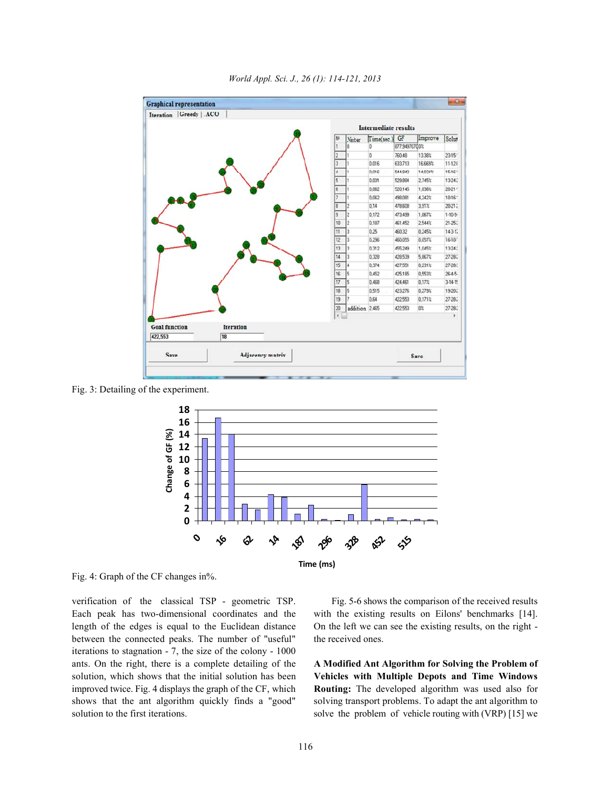

*World Appl. Sci. J., 26 (1): 114-121, 2013*

Fig. 3: Detailing of the experiment.



Fig. 4: Graph of the CF changes in%.

verification of the classical TSP - geometric TSP. Fig. 5-6 shows the comparison of the received results Each peak has two-dimensional coordinates and the with the existing results on Eilons' benchmarks [14]. length of the edges is equal to the Euclidean distance On the left we can see the existing results, on the right between the connected peaks. The number of "useful" the received ones. iterations to stagnation - 7, the size of the colony - 1000 ants. On the right, there is a complete detailing of the **A Modified Ant Algorithm for Solving the Problem of** solution, which shows that the initial solution has been **Vehicles with Multiple Depots and Time Windows** improved twice. Fig. 4 displays the graph of the CF, which **Routing:** The developed algorithm was used also for shows that the ant algorithm quickly finds a "good" solving transport problems. To adapt the ant algorithm to solution to the first iterations. Solve the problem of vehicle routing with (VRP) [15] we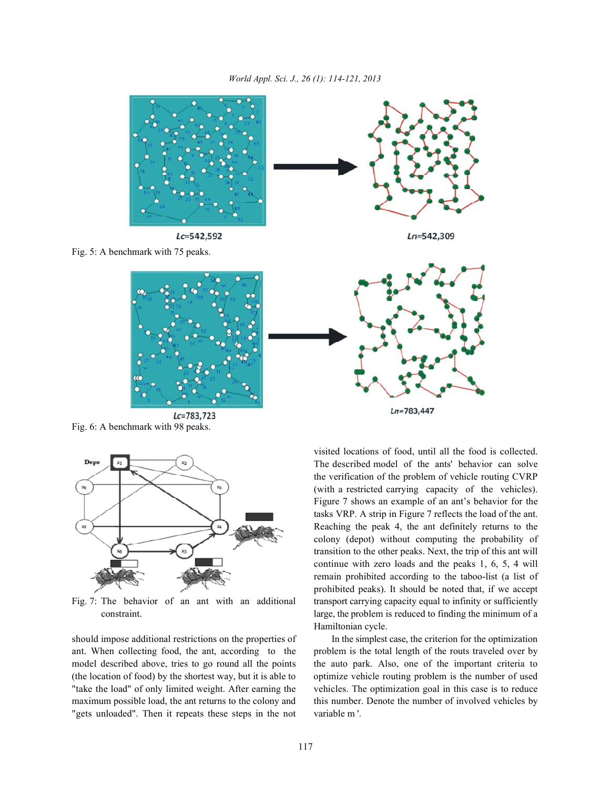

 $Lc = 783, 723$ Fig. 6: A benchmark with 98 peaks.



should impose additional restrictions on the properties of In the simplest case, the criterion for the optimization ant. When collecting food, the ant, according to the problem is the total length of the routs traveled over by model described above, tries to go round all the points the auto park. Also, one of the important criteria to (the location of food) by the shortest way, but it is able to optimize vehicle routing problem is the number of used "take the load" of only limited weight. After earning the vehicles. The optimization goal in this case is to reduce maximum possible load, the ant returns to the colony and this number. Denote the number of involved vehicles by "gets unloaded". Then it repeats these steps in the not variable m '.

Fig. 7: The behavior of an ant with an additional transport carrying capacity equal to infinity or sufficiently constraint. Large, the problem is reduced to finding the minimum of a visited locations of food, until all the food is collected. The described model of the ants' behavior can solve the verification of the problem of vehicle routing CVRP (with a restricted carrying capacity of the vehicles). Figure 7 shows an example of an ant's behavior for the tasks VRP. A strip in Figure 7 reflects the load of the ant. Reaching the peak 4, the ant definitely returns to the colony (depot) without computing the probability of transition to the other peaks. Next, the trip of this ant will continue with zero loads and the peaks 1, 6, 5, 4 will remain prohibited according to the taboo-list (a list of prohibited peaks). It should be noted that, if we accept Hamiltonian cycle.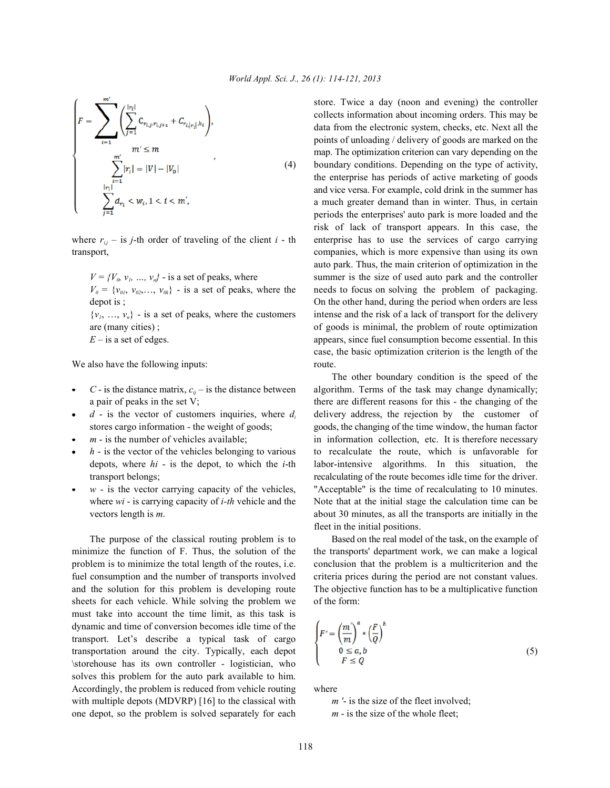$$
\left\{ F = \sum_{i=1}^{m} \left( \sum_{j=1}^{|r_i|} C_{r_{i,j}, r_{i,j+1}} + C_{r_{i,|r_i|}, h_i} \right), \atop m' \leq m \atop \sum_{i=1}^{m'} |r_i| = |V| - |V_0| \atop \sum_{j=1}^{|r_i|} d_{r_i} < w_i, 1 < i < m', \right. \tag{4}
$$

transport, companies, which is more expensive than using its own

We also have the following inputs: route.

- 
- 
- 
- 
- 

minimize the function of F. Thus, the solution of the the transports' department work, we can make a logical problem is to minimize the total length of the routes, i.e. conclusion that the problem is a multicriterion and the fuel consumption and the number of transports involved criteria prices during the period are not constant values. and the solution for this problem is developing route The objective function has to be a multiplicative function sheets for each vehicle. While solving the problem we of the form: must take into account the time limit, as this task is dynamic and time of conversion becomes idle time of the transport. Let's describe a typical task of cargo transportation around the city. Typically, each depot \storehouse has its own controller - logistician, who solves this problem for the auto park available to him. Accordingly, the problem is reduced from vehicle routing where with multiple depots (MDVRP) [16] to the classical with *m'*- is the size of the fleet involved; one depot, so the problem is solved separately for each *m* - is the size of the whole fleet;

store. Twice a day (noon and evening) the controller boundary conditions. Depending on the type of activity, where  $r_{ij}$  – is *j*-th order of traveling of the client *i* - th enterprise has to use the services of cargo carrying  $V = \{V_a, v_a, ..., v_n\}$  - is a set of peaks, where summer is the size of used auto park and the controller  $V_0 = \{v_{01}, v_{02}, \ldots, v_{0k}\}$  - is a set of peaks, where the needs to focus on solving the problem of packaging. depot is ;  $\Box$  On the other hand, during the period when orders are less  $\{v_1, \ldots, v_n\}$  - is a set of peaks, where the customers intense and the risk of a lack of transport for the delivery are (many cities); of goods is minimal, the problem of route optimization *E* – is a set of edges. **appears**, since fuel consumption become essential. In this collects information about incoming orders. This may be data from the electronic system, checks, etc. Next all the points of unloading / delivery of goods are marked on the map. The optimization criterion can vary depending on the the enterprise has periods of active marketing of goods and vice versa. For example, cold drink in the summer has a much greater demand than in winter. Thus, in certain periods the enterprises' auto park is more loaded and the risk of lack of transport appears. In this case, the auto park. Thus, the main criterion of optimization in the case, the basic optimization criterion is the length of the

*C* - is the distance matrix,  $c_{ii}$  – is the distance between algorithm. Terms of the task may change dynamically; a pair of peaks in the set V; there are different reasons for this - the changing of the  $d$  - is the vector of customers inquiries, where  $d_i$  delivery address, the rejection by the customer of stores cargo information - the weight of goods; goods, the changing of the time window, the human factor  $m -$  is the number of vehicles available; in information collection, etc. It is therefore necessary *h* - is the vector of the vehicles belonging to various to recalculate the route, which is unfavorable for depots, where *hi* - is the depot, to which the *i*-th labor-intensive algorithms. In this situation, the transport belongs; recalculating of the route becomes idle time for the driver. *w* - is the vector carrying capacity of the vehicles, "Acceptable" is the time of recalculating to 10 minutes. where *wi* - is carrying capacity of *i-th* vehicle and the Note that at the initial stage the calculation time can be vectors length is *m*. about 30 minutes, as all the transports are initially in the The other boundary condition is the speed of the fleet in the initial positions.

The purpose of the classical routing problem is to Based on the real model of the task, on the example of

$$
\begin{cases}\nF' = \left(\frac{m}{m}\right)^a * \left(\frac{F}{Q}\right)^b \\
0 \le a, b \\
F \le Q\n\end{cases}
$$
\n(5)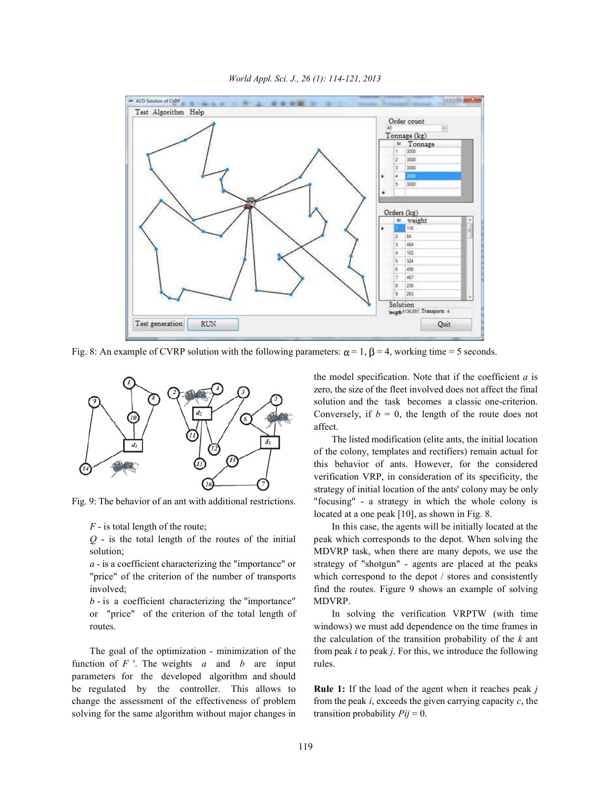

*World Appl. Sci. J., 26 (1): 114-121, 2013*

Fig. 8: An example of CVRP solution with the following parameters:  $\alpha = 1$ ,  $\beta = 4$ , working time = 5 seconds.



*b* - is a coefficient characterizing the "importance" MDVRP. or "price" of the criterion of the total length of In solving the verification VRPTW (with time

function of *F* '. The weights *a* and *b* are input rules. parameters for the developed algorithm and should be regulated by the controller. This allows to **Rule 1:** If the load of the agent when it reaches peak *j* change the assessment of the effectiveness of problem from the peak *i*, exceeds the given carrying capacity *c*, the solving for the same algorithm without major changes in transition probability  $Pij = 0$ .

the model specification. Note that if the coefficient *a* is zero, the size of the fleet involved does not affect the final solution and the task becomes a classic one-criterion. Conversely, if  $b = 0$ , the length of the route does not affect.

Fig. 9: The behavior of an ant with additional restrictions. "focusing" - a strategy in which the whole colony is The listed modification (elite ants, the initial location of the colony, templates and rectifiers) remain actual for this behavior of ants. However, for the considered verification VRP, in consideration of its specificity, the strategy of initial location of the ants' colony may be only located at a one peak [10], as shown in Fig. 8.

*F* - is total length of the route; In this case, the agents will be initially located at the *Q* - is the total length of the routes of the initial peak which corresponds to the depot. When solving the solution; MDVRP task, when there are many depots, we use the *a* - is a coefficient characterizing the "importance" or strategy of "shotgun" - agents are placed at the peaks "price" of the criterion of the number of transports which correspond to the depot / stores and consistently involved; find the routes. Figure 9 shows an example of solving

routes. windows) we must add dependence on the time frames in The goal of the optimization - minimization of the from peak *i* to peak *j*. For this, we introduce the following the calculation of the transition probability of the *k* ant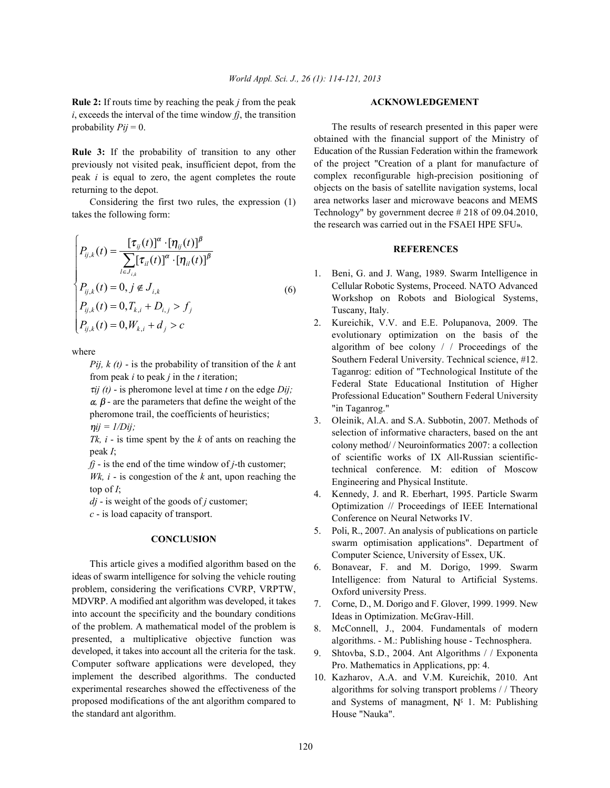**Rule 2:** If routs time by reaching the peak *j* from the peak **ACKNOWLEDGEMENT**  $i$ , exceeds the interval of the time window  $f_j$ , the transition probability  $Pij = 0$ .

**Rule 3:** If the probability of transition to any other previously not visited peak, insufficient depot, from the peak *i* is equal to zero, the agent completes the route returning to the depot.

Considering the first two rules, the expression (1) takes the following form:

$$
\begin{cases}\nP_{ij,k}(t) = \frac{[\tau_{ij}(t)]^{\alpha} \cdot [\eta_{ij}(t)]^{\beta}}{\sum_{l \in J_{i,k}} [\tau_{il}(t)]^{\alpha} \cdot [\eta_{il}(t)]^{\beta}} \\
P_{ij,k}(t) = 0, j \notin J_{i,k} \\
P_{ij,k}(t) = 0, T_{k,i} + D_{i,j} > f_j \\
P_{ij,k}(t) = 0, W_{k,i} + d_j > c\n\end{cases}
$$
\n(6)

where

*Pij, k (t)* - is the probability of transition of the *k* ant from peak *i* to peak *j* in the *t* iteration;

 $\tau i j$  (*t*) - is pheromone level at time *t* on the edge *Dij*;  $\alpha$ ,  $\beta$  - are the parameters that define the weight of the pheromone trail, the coefficients of heuristics;  $\eta ij = I/Dij;$ 

*Tk, i* - is time spent by the *k* of ants on reaching the peak *I*;

*fj* - is the end of the time window of *j*-th customer;

*Wk, i* - is congestion of the *k* ant, upon reaching the top of *I*;

*dj* - is weight of the goods of *j* customer;

*c* - is load capacity of transport.

## **CONCLUSION**

This article gives a modified algorithm based on the ideas of swarm intelligence for solving the vehicle routing problem, considering the verifications CVRP, VRPTW, MDVRP. A modified ant algorithm was developed, it takes into account the specificity and the boundary conditions of the problem. A mathematical model of the problem is presented, a multiplicative objective function was developed, it takes into account all the criteria for the task. Computer software applications were developed, they implement the described algorithms. The conducted experimental researches showed the effectiveness of the proposed modifications of the ant algorithm compared to the standard ant algorithm.

The results of research presented in this paper were obtained with the financial support of the Ministry of Education of the Russian Federation within the framework of the project "Creation of a plant for manufacture of complex reconfigurable high-precision positioning of objects on the basis of satellite navigation systems, local area networks laser and microwave beacons and MEMS Technology" by government decree # 218 of 09.04.2010, the research was carried out in the FSAEI HPE SFU».

### **REFERENCES**

- 1. Beni, G. and J. Wang, 1989. Swarm Intelligence in Cellular Robotic Systems, Proceed. NATO Advanced Workshop on Robots and Biological Systems, Tuscany, Italy.
- 2. Kureichik, V.V. and E.E. Polupanova, 2009. The evolutionary optimization on the basis of the algorithm of bee colony / / Proceedings of the Southern Federal University. Technical science, #12. Taganrog: edition of "Technological Institute of the Federal State Educational Institution of Higher Professional Education" Southern Federal University "in Taganrog."
- 3. Oleinik, Al.A. and S.A. Subbotin, 2007. Methods of selection of informative characters, based on the ant colony method/ / Neuroinformatics 2007: a collection of scientific works of IX All-Russian scientifictechnical conference. M: edition of Moscow Engineering and Physical Institute.
- 4. Kennedy, J. and R. Eberhart, 1995. Particle Swarm Optimization // Proceedings of IEEE International Conference on Neural Networks IV.
- 5. Poli, R., 2007. An analysis of publications on particle swarm optimisation applications". Department of Computer Science, University of Essex, UK.
- 6. Bonavear, F. and M. Dorigo, 1999. Swarm Intelligence: from Natural to Artificial Systems. Oxford university Press.
- 7. Corne, D., M. Dorigo and F. Glover, 1999. 1999. New Ideas in Optimization. McGrav-Hill.
- 8. McConnell, J., 2004. Fundamentals of modern algorithms. - M.: Publishing house - Technosphera.
- 9. Shtovba, S.D., 2004. Ant Algorithms / / Exponenta Pro. Mathematics in Applications, pp: 4.
- 10. Kazharov, A.A. and V.M. Kureichik, 2010. Ant algorithms for solving transport problems / / Theory and Systems of managment,  $N^{\circ}$  1. M: Publishing House "Nauka".